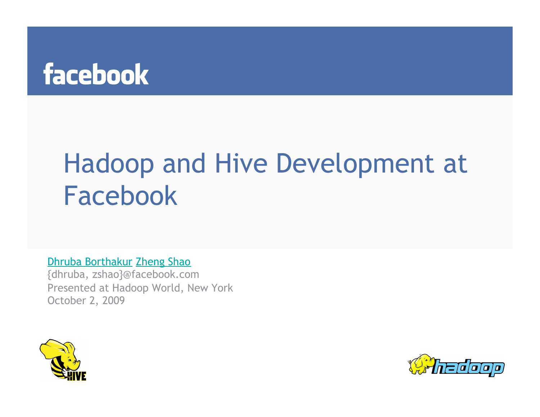# Hadoop and Hive Development at Facebook

Dhruba Borthakur Zheng Shao

{dhruba, zshao}@facebook.com Presented at Hadoop World, New York October 2, 2009



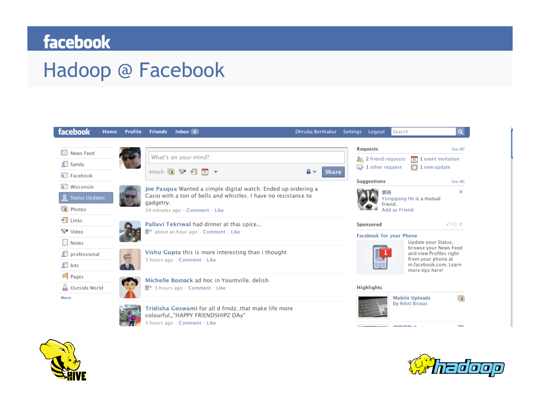### Hadoop @ Facebook





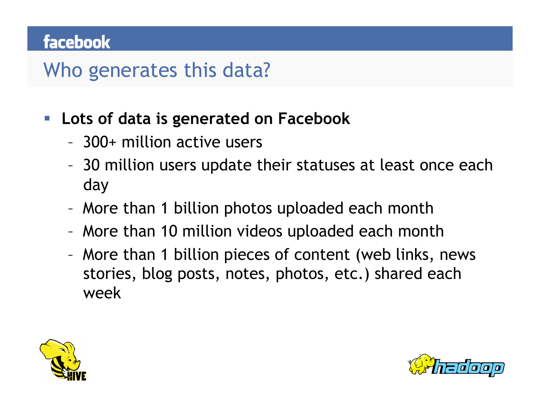### Who generates this data?

#### **Lots of data is generated on Facebook**

- 300+ million active users
- 30 million users update their statuses at least once each day
- More than 1 billion photos uploaded each month
- More than 10 million videos uploaded each month
- More than 1 billion pieces of content (web links, news stories, blog posts, notes, photos, etc.) shared each week



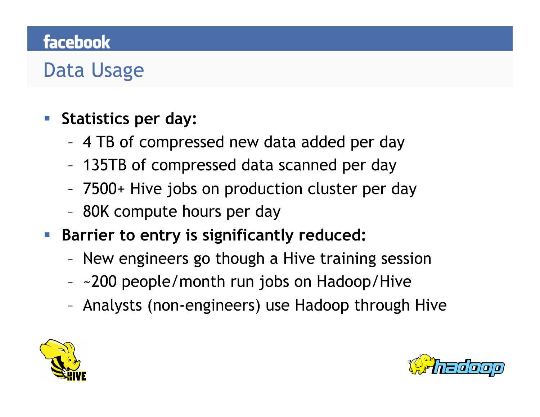# Data Usage

#### **Statistics per day:**

- 4 TB of compressed new data added per day
- 135TB of compressed data scanned per day
- 7500+ Hive jobs on production cluster per day
- 80K compute hours per day
- **Barrier to entry is significantly reduced:** 
	- New engineers go though a Hive training session
	- ~200 people/month run jobs on Hadoop/Hive
	- Analysts (non-engineers) use Hadoop through Hive



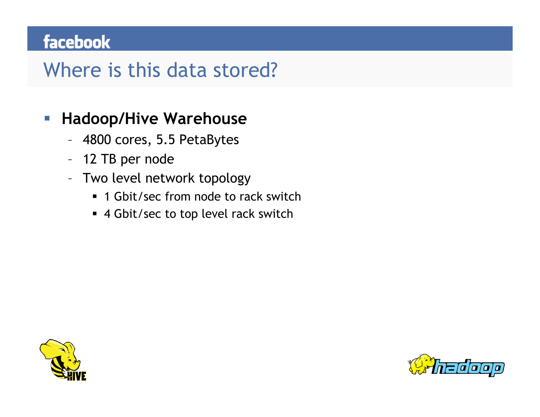### Where is this data stored?

#### **Hadoop/Hive Warehouse**

- 4800 cores, 5.5 PetaBytes
- 12 TB per node
- Two level network topology
	- 1 Gbit/sec from node to rack switch
	- 4 Gbit/sec to top level rack switch



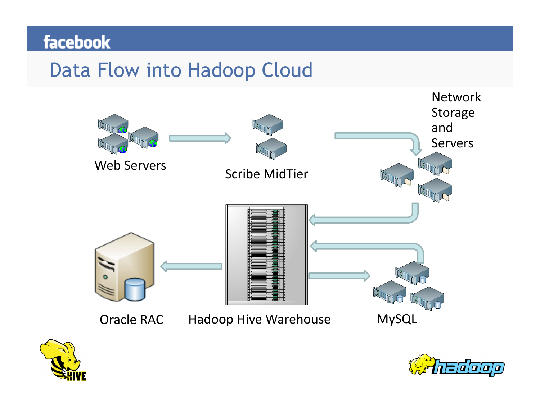### Data Flow into Hadoop Cloud





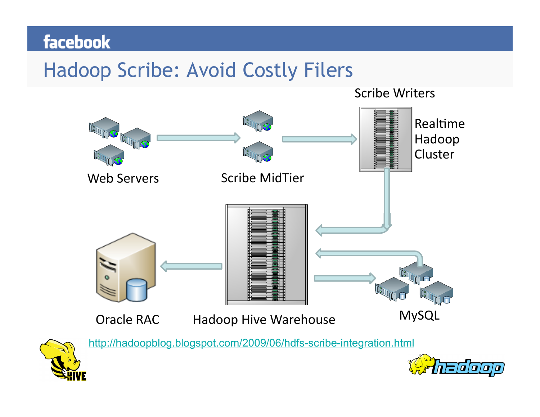### Hadoop Scribe: Avoid Costly Filers



2000 D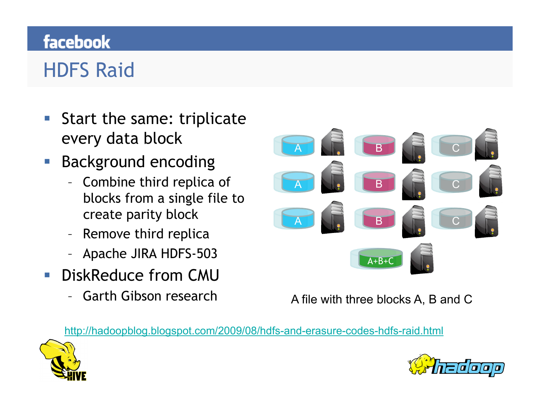# HDFS Raid

- Start the same: triplicate every data block
- Background encoding
	- Combine third replica of blocks from a single file to create parity block
	- Remove third replica
	- Apache JIRA HDFS-503
- **DiskReduce from CMU** 
	- Garth Gibson research



A file with three blocks A, B and C

http://hadoopblog.blogspot.com/2009/08/hdfs-and-erasure-codes-hdfs-raid.html



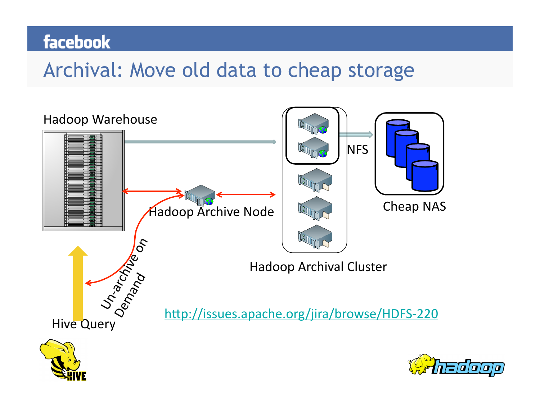### Archival: Move old data to cheap storage

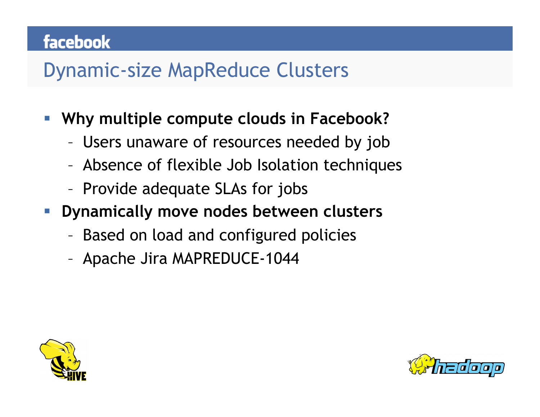### Dynamic-size MapReduce Clusters

- **Why multiple compute clouds in Facebook?** 
	- Users unaware of resources needed by job
	- Absence of flexible Job Isolation techniques
	- Provide adequate SLAs for jobs
- **Dynamically move nodes between clusters** 
	- Based on load and configured policies
	- Apache Jira MAPREDUCE-1044



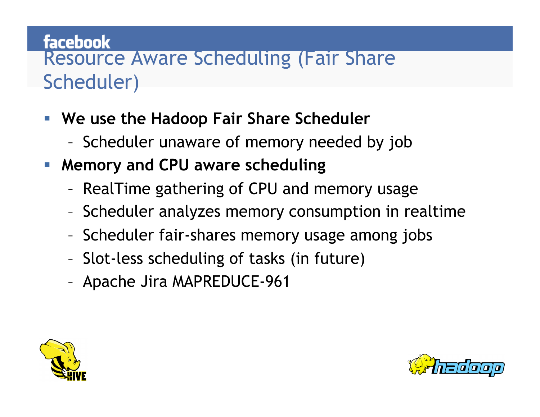#### facebook Resource Aware Scheduling (Fair Share Scheduler)

- **We use the Hadoop Fair Share Scheduler** 
	- Scheduler unaware of memory needed by job
- **Memory and CPU aware scheduling** 
	- RealTime gathering of CPU and memory usage
	- Scheduler analyzes memory consumption in realtime
	- Scheduler fair-shares memory usage among jobs
	- Slot-less scheduling of tasks (in future)
	- Apache Jira MAPREDUCE-961



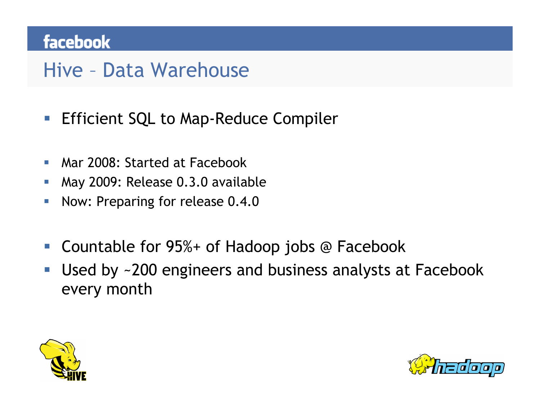### Hive – Data Warehouse

- **Efficient SQL to Map-Reduce Compiler**
- Mar 2008: Started at Facebook
- **May 2009: Release 0.3.0 available**
- Now: Preparing for release 0.4.0
- Countable for 95%+ of Hadoop jobs @ Facebook
- Used by ~200 engineers and business analysts at Facebook every month



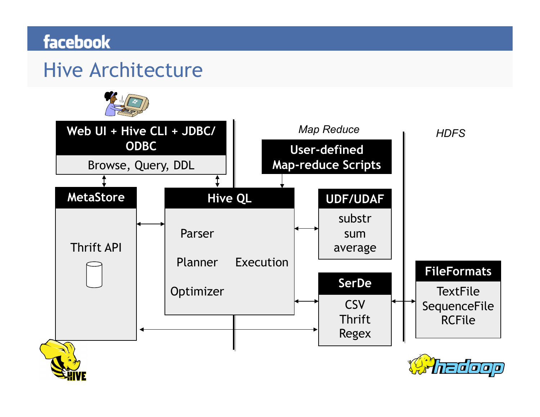### Hive Architecture

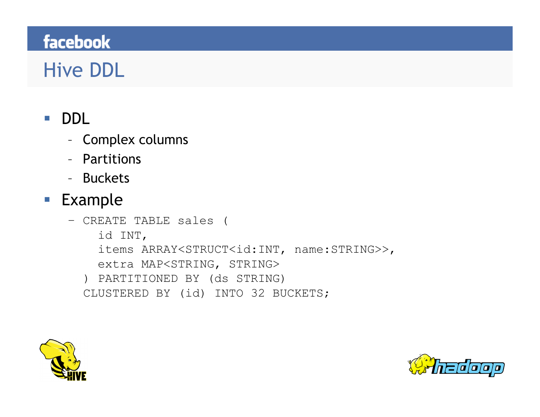# Hive DDL

#### DDL

- Complex columns
- Partitions
- Buckets

#### **Example**

– CREATE TABLE sales ( id INT, items ARRAY<STRUCT<id:INT, name:STRING>>, extra MAP<STRING, STRING> ) PARTITIONED BY (ds STRING) CLUSTERED BY (id) INTO 32 BUCKETS;



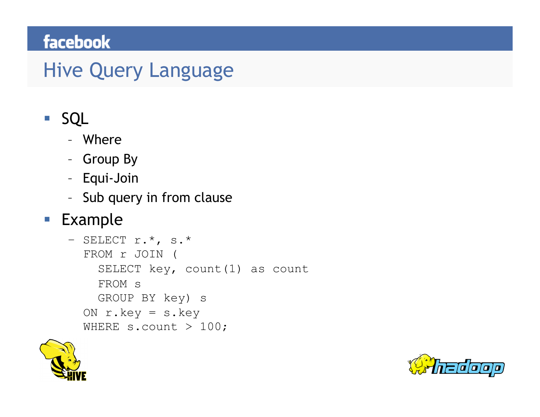### Hive Query Language

#### SQL

- Where
- Group By
- Equi-Join
- Sub query in from clause

#### **Example**

```
- SELECT r.*, s.*
  FROM r JOIN ( 
    SELECT key, count (1) as count
     FROM s 
     GROUP BY key) s 
  ON r.key = s.key 
  WHERE s.count > 100;
```


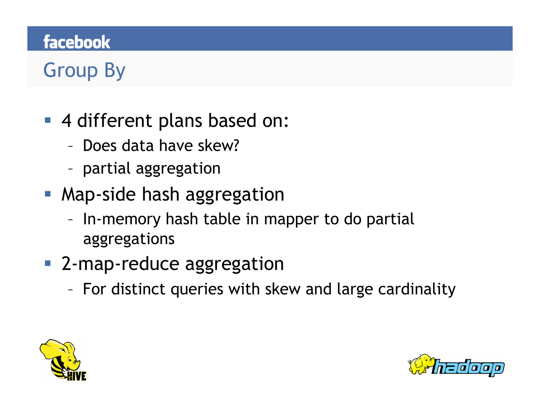# Group By

- 4 different plans based on:
	- Does data have skew?
	- partial aggregation
- **Map-side hash aggregation** 
	- In-memory hash table in mapper to do partial aggregations
- 2-map-reduce aggregation
	- For distinct queries with skew and large cardinality



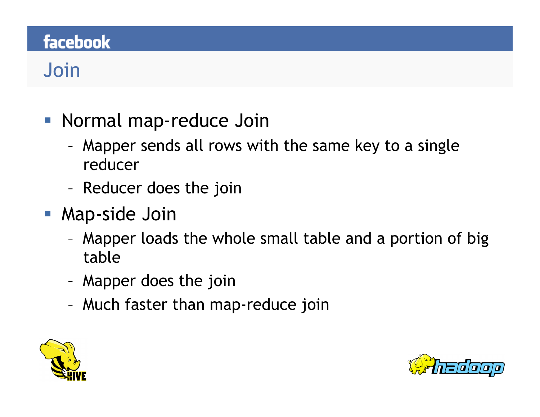# Join

- **Normal map-reduce Join** 
	- Mapper sends all rows with the same key to a single reducer
	- Reducer does the join
- **Map-side Join** 
	- Mapper loads the whole small table and a portion of big table
	- Mapper does the join
	- Much faster than map-reduce join



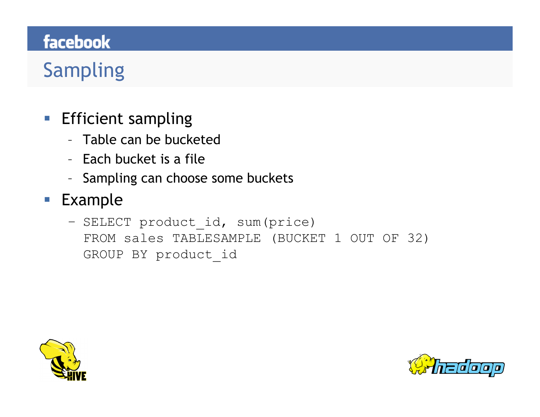# Sampling

- **Efficient sampling** 
	- Table can be bucketed
	- Each bucket is a file
	- Sampling can choose some buckets
- **Example** 
	- SELECT product id, sum(price) FROM sales TABLESAMPLE (BUCKET 1 OUT OF 32) GROUP BY product\_id



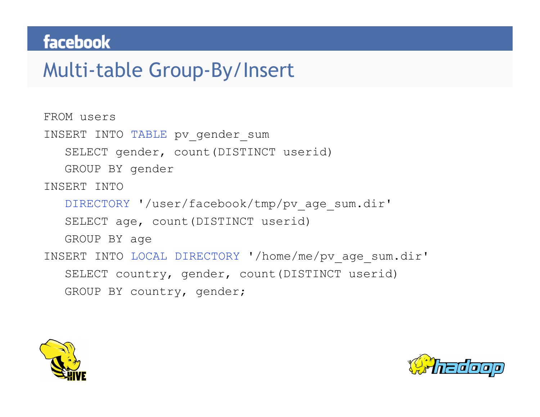### Multi-table Group-By/Insert

```
FROM users 
INSERT INTO TABLE pv gender sum
   SELECT gender, count(DISTINCT userid) 
   GROUP BY gender 
INSERT INTO 
   DIRECTORY '/user/facebook/tmp/pv_age_sum.dir' 
   SELECT age, count(DISTINCT userid) 
   GROUP BY age 
INSERT INTO LOCAL DIRECTORY '/home/me/pv_age_sum.dir' 
   SELECT country, gender, count(DISTINCT userid) 
   GROUP BY country, gender;
```


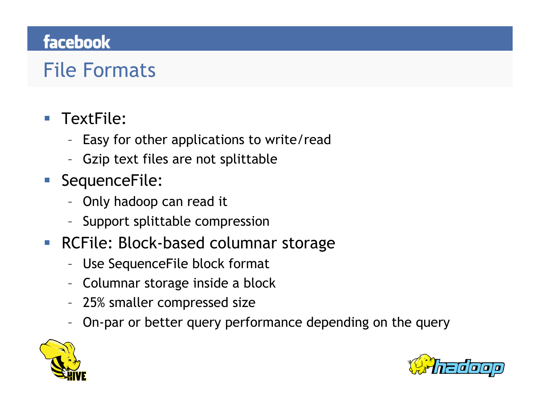# File Formats

#### ■ TextFile:

- Easy for other applications to write/read
- Gzip text files are not splittable
- SequenceFile:
	- Only hadoop can read it
	- Support splittable compression
- **RCFile: Block-based columnar storage** 
	- Use SequenceFile block format
	- Columnar storage inside a block
	- 25% smaller compressed size
	- On-par or better query performance depending on the query



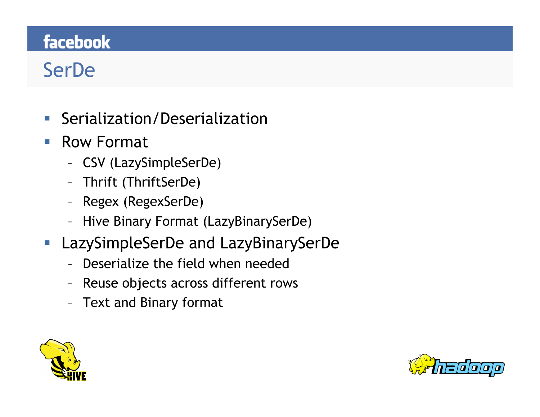# SerDe

- Serialization/Deserialization
- Row Format
	- CSV (LazySimpleSerDe)
	- Thrift (ThriftSerDe)
	- Regex (RegexSerDe)
	- Hive Binary Format (LazyBinarySerDe)
- LazySimpleSerDe and LazyBinarySerDe
	- Deserialize the field when needed
	- Reuse objects across different rows
	- Text and Binary format



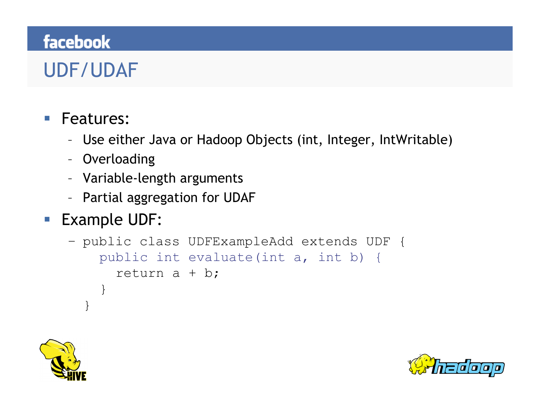## UDF/UDAF

#### **Features:**

- Use either Java or Hadoop Objects (int, Integer, IntWritable)
- Overloading
- Variable-length arguments
- Partial aggregation for UDAF

#### ■ Example UDF:

```
– public class UDFExampleAdd extends UDF { 
     public int evaluate(int a, int b) {
       return a + b; 
   } 
  }
```


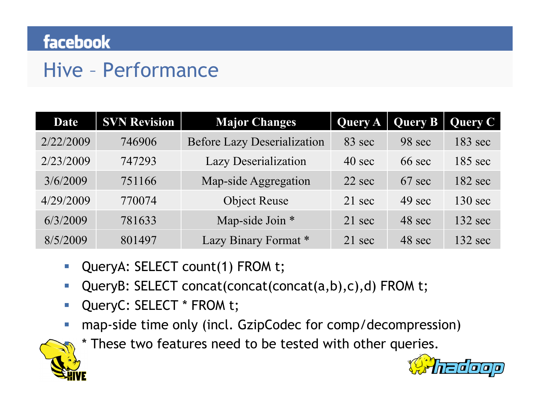### Hive – Performance

| <b>Date</b> | <b>SVN Revision</b> | <b>Major Changes</b>               | <b>Query A</b> | <b>Query B</b> | <b>Query C</b>    |
|-------------|---------------------|------------------------------------|----------------|----------------|-------------------|
| 2/22/2009   | 746906              | <b>Before Lazy Deserialization</b> | 83 sec         | 98 sec         | $183 \text{ sec}$ |
| 2/23/2009   | 747293              | <b>Lazy Deserialization</b>        | 40 sec         | 66 sec         | $185 \text{ sec}$ |
| 3/6/2009    | 751166              | Map-side Aggregation               | $22$ sec       | $67$ sec       | $182 \text{ sec}$ |
| 4/29/2009   | 770074              | <b>Object Reuse</b>                | 21 sec         | 49 sec         | $130 \text{ sec}$ |
| 6/3/2009    | 781633              | Map-side Join *                    | 21 sec         | 48 sec         | $132 \text{ sec}$ |
| 8/5/2009    | 801497              | Lazy Binary Format*                | 21 sec         | 48 sec         | $132 \text{ sec}$ |

- QueryA: SELECT count(1) FROM t;
- QueryB: SELECT concat(concat(concat(a,b),c),d) FROM t;
- **QueryC: SELECT \* FROM t;**
- **nap-side time only (incl. GzipCodec for comp/decompression)**



\* These two features need to be tested with other queries.